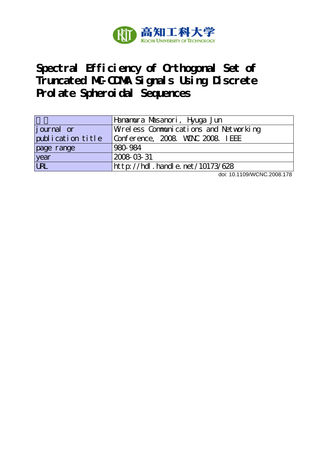

# **Spectral Efficiency of Orthogonal Set of Truncated MC-CDMA Signals Using Discrete Prolate Spheroidal Sequences**

|                   | Hanamura Masanori, Hyuga Jun          |
|-------------------|---------------------------------------|
| journal or        | Wreless Communications and Networking |
| publication title | Conference, 2008. VANC 2008. IEEE     |
| page range        | 980-984                               |
| year<br>URL       | 2008-03-31                            |
|                   | http://hdl.handle.net/10173/628       |

doi: 10.1109/WCNC.2008.178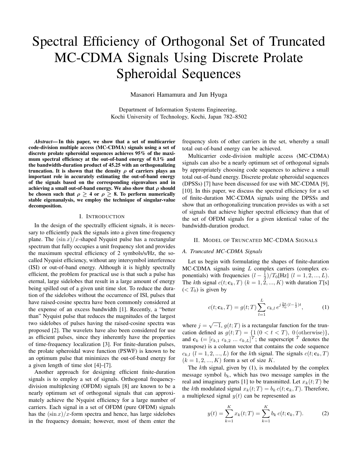# Spectral Efficiency of Orthogonal Set of Truncated MC-CDMA Signals Using Discrete Prolate Spheroidal Sequences

Masanori Hamamura and Jun Hyuga

Department of Information Systems Engineering, Kochi University of Technology, Kochi, Japan 782–8502

*Abstract*— In this paper, we show that a set of multicarrier code-division multiple access (MC-CDMA) signals using a set of discrete prolate spheroidal sequences achieves 95% of the maximum spectral efficiency at the out-of-band energy of 0.1% and the bandwidth-duration product of 45.25 with an orthogonalizing truncation. It is shown that the density  $\rho$  of carriers plays an important role in accurately estimating the out-of-band energy of the signals based on the corresponding eigenvalues and in achieving a small out-of-band energy. We also show that *ρ* should be chosen such that  $\rho \geq 4$  or  $\rho \geq 8$ . To perform numerically stable eigenanalysis, we employ the technique of singular-value decomposition.

#### I. INTRODUCTION

In the design of the spectrally efficient signals, it is necessary to efficiently pack the signals into a given time-frequency plane. The  $(\sin x)/x$ -shaped Nyquist pulse has a rectangular spectrum that fully occupies a unit frequency slot and provides the maximum spectral efficiency of 2 symbols/s/Hz, the socalled Nyquist efficiency, without any intersymbol interference (ISI) or out-of-band energy. Although it is highly spectrally efficient, the problem for practical use is that such a pulse has eternal, large sidelobes that result in a large amount of energy being spilled out of a given unit time slot. To reduce the duration of the sidelobes without the occurrence of ISI, pulses that have raised-cosine spectra have been commonly considered at the expense of an excess bandwidth [1]. Recently, a "better than" Nyquist pulse that reduces the magnitudes of the largest two sidelobes of pulses having the raised-cosine spectra was proposed [2]. The wavelets have also been considered for use as efficient pulses, since they inherently have the properties of time-frequency localization [3]. For finite-duration pulses, the prolate spheroidal wave function (PSWF) is known to be an optimum pulse that minimizes the out-of-band energy for a given length of time slot [4]–[7].

Another approach for designing efficient finite-duration signals is to employ a set of signals. Orthogonal frequencydivision multiplexing (OFDM) signals [8] are known to be a nearly optimum set of orthogonal signals that can approximately achieve the Nyquist efficiency for a large number of carriers. Each signal in a set of OFDM (pure OFDM) signals has the  $(\sin x)/x$ -form spectra and hence, has large sidelobes in the frequency domain; however, most of them enter the

frequency slots of other carriers in the set, whereby a small total out-of-band energy can be achieved.

Multicarrier code-division multiple access (MC-CDMA) signals can also be a nearly optimum set of orthogonal signals by appropriately choosing code sequences to achieve a small total out-of-band energy. Discrete prolate spheroidal sequences (DPSSs) [7] have been discussed for use with MC-CDMA [9], [10]. In this paper, we discuss the spectral efficiency for a set of finite-duration MC-CDMA signals using the DPSSs and show that an orthogonalizing truncation provides us with a set of signals that achieve higher spectral efficiency than that of the set of OFDM signals for a given identical value of the bandwidth-duration product.

#### II. MODEL OF TRUNCATED MC-CDMA SIGNALS

### *A. Truncated MC-CDMA Signals*

Let us begin with formulating the shapes of finite-duration MC-CDMA signals using *L* complex carriers (complex exponentials) with frequencies  $(l - \frac{1}{2})/T_0[Hz]$   $(l = 1, 2, ..., L)$ . The *k*th signal  $c(t; \mathbf{c}_k, T)$  ( $k = 1, \overline{2}, ..., K$ ) with duration  $T[s]$  $(*T*<sub>0</sub>)$  is given by

$$
c(t; \mathbf{c}_k, T) = g(t; T) \sum_{l=1}^{L} c_{k,l} e^{j\frac{2\pi}{T_0}(l - \frac{1}{2})t}, \qquad (1)
$$

where  $j = \sqrt{-1}$ ,  $g(t;T)$  is a rectangular function for the truncation defined as  $g(t;T) = \{1(0 < t < T), 0(\text{otherwise})\},\$ and  $\mathbf{c}_k$  (=  $[c_{k,1}, c_{k,2}, \dots, c_{k,L}]$ <sup>T</sup>; the superscript <sup>T</sup> denotes the transpose) is a column vector that contains the code sequence  $c_{k,l}$  ( $l = 1, 2, ..., L$ ) for the *k*th signal. The signals  $c(t; \mathbf{c}_k, T)$  $(k = 1, 2, ..., K)$  form a set of size *K*.

The *k*th signal, given by (1), is modulated by the complex message symbol  $b_k$ , which has two message samples in the real and imaginary parts [1] to be transmitted. Let  $x_k(t;T)$  be the *k*th modulated signal  $x_k(t;T) = b_k c(t; \mathbf{c}_k, T)$ . Therefore, a multiplexed signal  $y(t)$  can be represented as

$$
y(t) = \sum_{k=1}^{K} x_k(t;T) = \sum_{k=1}^{K} b_k c(t; \mathbf{c}_k, T).
$$
 (2)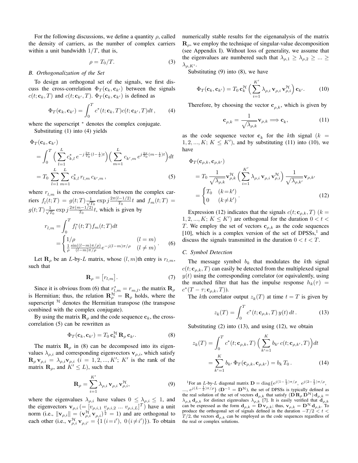For the following discussions, we define a quantity *ρ*, called the density of carriers, as the number of complex carriers within a unit bandwidth 1*/T*, that is,

$$
\rho = T_0/T.
$$
\n(3)

#### *B. Orthogonalization of the Set*

To design an orthogonal set of the signals, we first discuss the cross-correlation  $\Phi_T(\mathbf{c}_k, \mathbf{c}_{k'})$  between the signals  $c(t; \mathbf{c}_k, T)$  and  $c(t; \mathbf{c}_{k'}, T)$ .  $\Phi_T(\mathbf{c}_k, \mathbf{c}_{k'})$  is defined as

$$
\Phi_T(\mathbf{c}_k, \mathbf{c}_{k'}) = \int_0^T c^*(t; \mathbf{c}_k, T) c(t; \mathbf{c}_{k'}, T) dt, \qquad (4)
$$

where the superscript  $*$  denotes the complex conjugate. Substituting (1) into (4) yields

$$
\Phi_T(\mathbf{c}_k, \mathbf{c}_{k'})
$$
\n
$$
= \int_0^T \left( \sum_{l=1}^L c_{k,l}^* e^{-j\frac{2\pi}{T_0}(l-\frac{1}{2})t} \right) \left( \sum_{m=1}^L c_{k',m} e^{j\frac{2\pi}{T_0}(m-\frac{1}{2})t} \right) dt
$$
\n
$$
= T_0 \sum_{l=1}^L \sum_{m=1}^L c_{k,l}^* r_{l,m} c_{k',m}, \tag{5}
$$

where  $r_{l,m}$  is the cross-correlation between the complex car $r$  *f*<sub>*l*</sub> $(t; T) = g(t; T) \frac{1}{\sqrt{7}}$  $\frac{1}{T_0}$  exp  $j \frac{2\pi (l-1/2)}{T_0} t$  and  $f_m(t;T) =$  $g(t;T) \frac{1}{\sqrt{2}}$  $\frac{1}{T_0}$  exp  $j \frac{2\pi (m-1/2)}{T_0} t$ , which is given by

$$
r_{l,m} = \int_0^T f_l^*(t;T) f_m(t;T) dt
$$
  
= 
$$
\begin{cases} 1/\rho & (l=m) \\ \frac{1}{\rho} \frac{\sin((l-m)\pi/\rho)}{(l-m)\pi/\rho} e^{-j(l-m)\pi/\rho} & (l \neq m) \end{cases}
$$
 (6)

Let **R**<sub>*ρ*</sub> be an *L*-by-*L* matrix, whose  $(l, m)$ th entry is  $r_{l,m}$ , such that

$$
\mathbf{R}_{\rho} = [r_{l,m}]. \tag{7}
$$

Since it is obvious from (6) that  $r_{l,m}^* = r_{m,l}$ , the matrix  $\mathbf{R}_\rho$ is Hermitian; thus, the relation  $\mathbf{R}_{\rho}^{\mathcal{H}} = \mathbf{R}_{\rho}$  holds, where the superscript  $\hat{H}$  denotes the Hermitian transpose (the transpose combined with the complex conjugate).

By using the matrix  $\mathbf{R}_{\rho}$  and the code sequence  $\mathbf{c}_k$ , the crosscorrelation (5) can be rewritten as

$$
\Phi_T(\mathbf{c}_k, \mathbf{c}_{k'}) = T_0 \mathbf{c}_k^{\mathcal{H}} \mathbf{R}_{\rho} \mathbf{c}_{k'}.
$$
\n(8)

The matrix  $\mathbf{R}_{\rho}$  in (8) can be decomposed into its eigenvalues  $\lambda_{\rho,i}$  and corresponding eigenvectors  $\mathbf{v}_{\rho,i}$ , which satisfy  $\mathbf{R}_{\rho} \mathbf{v}_{\rho,i} = \lambda_{\rho,i} \mathbf{v}_{\rho,i}$  (*i* = 1, 2, ..., K'; K' is the rank of the matrix  $\mathbf{R}_{\rho}$ , and  $K' \leq L$ ), such that

$$
\mathbf{R}_{\rho} = \sum_{i=1}^{K'} \lambda_{\rho,i} \, \mathbf{v}_{\rho,i} \, \mathbf{v}_{\rho,i}^{\mathcal{H}}, \tag{9}
$$

where the eigenvalues  $\lambda_{\rho,i}$  have values  $0 \leq \lambda_{\rho,i} \leq 1$ , and the eigenvectors  $\mathbf{v}_{\rho,i}$  (=  $[v_{\rho,i,1} \ v_{\rho,i,2} \ ... \ v_{\rho,i,L}]^T$ ) have a unit norm (i.e.,  $\|\mathbf{v}_{\rho,i}\| = (\mathbf{v}_{\rho,i}^{\mathcal{H}} \mathbf{v}_{\rho,i})^{\frac{1}{2}} = 1$ ) and are orthogonal to each other (i.e.,  $\mathbf{v}_{\rho,i}^{\mathcal{H}} \mathbf{v}_{\rho,i'} = \{1 (i = i'), 0 (i \neq i')\}$ ). To obtain

numerically stable results for the eigenanalysis of the matrix **R***ρ*, we employ the technique of singular-value decomposition (see Appendix I). Without loss of generality, we assume that the eigenvalues are numbered such that  $\lambda_{\rho,1} \geq \lambda_{\rho,2} \geq ... \geq$  $λ$ <sub>*ρ,K'*</sub>.

Substituting (9) into (8), we have

$$
\Phi_T(\mathbf{c}_k, \mathbf{c}_{k'}) = T_0 \mathbf{c}_k^{\mathcal{H}} \left( \sum_{i=1}^{K'} \lambda_{\rho, i} \mathbf{v}_{\rho, i} \mathbf{v}_{\rho, i}^{\mathcal{H}} \right) \mathbf{c}_{k'}.
$$
 (10)

Therefore, by choosing the vector  $\mathbf{c}_{\rho,k}$ , which is given by

$$
\mathbf{c}_{\rho,k} = \frac{1}{\sqrt{\lambda_{\rho,k}}} \mathbf{v}_{\rho,k} \Longrightarrow \mathbf{c}_k,\tag{11}
$$

as the code sequence vector  $\mathbf{c}_k$  for the *k*th signal ( $k =$  $1, 2, ..., K$ ;  $K \leq K'$ ), and by substituting (11) into (10), we have

$$
\Phi_T(\mathbf{c}_{\rho,k}, \mathbf{c}_{\rho,k'})
$$
\n
$$
= T_0 \frac{1}{\sqrt{\lambda_{\rho,k}}} \mathbf{v}_{\rho,k}^{\mathcal{H}} \left( \sum_{i=1}^{K'} \lambda_{\rho,i} \mathbf{v}_{\rho,i} \mathbf{v}_{\rho,i}^{\mathcal{H}} \right) \frac{1}{\sqrt{\lambda_{\rho,k'}}} \mathbf{v}_{\rho,k'}
$$
\n
$$
= \begin{cases} T_0 & (k = k') \\ 0 & (k \neq k') \end{cases} . \tag{12}
$$

Expression (12) indicates that the signals  $c(t; \mathbf{c}_{\rho,k}, T)$  ( $k =$ 1, 2, ...,  $K$ ;  $K \leq K'$ ) are orthogonal for the duration  $0 < t <$ *T*. We employ the set of vectors **c***ρ,k* as the code sequences [10], which is a complex version of the set of  $DPSSs$ ,<sup>1</sup> and discuss the signals transmitted in the duration  $0 < t < T$ .

#### *C. Symbol Detection*

The message symbol  $b_k$  that modulates the  $k$ th signal  $c(t; \mathbf{c}_{\rho,k}, T)$  can easily be detected from the multiplexed signal  $y(t)$  using the corresponding correlator (or equivalently, using the matched filter that has the impulse response  $h_k(\tau)$  =  $c^*(T - \tau; \mathbf{c}_{\rho,k}, T)$ ).

The *k*th correlator output  $z_k(T)$  at time  $t = T$  is given by

$$
z_k(T) = \int_0^T c^*(t; \mathbf{c}_{\rho,k}, T) y(t) dt.
$$
 (13)

Substituting  $(2)$  into  $(13)$ , and using  $(12)$ , we obtain

$$
z_k(T) = \int_0^T c^*(t; \mathbf{c}_{\rho,k}, T) \left( \sum_{k'=1}^K b_{k'} c(t; \mathbf{c}_{\rho,k'}, T) \right) dt
$$
  
= 
$$
\sum_{k'=1}^K b_{k'} \Phi_T(\mathbf{c}_{\rho,k}, \mathbf{c}_{\rho,k'}) = b_k T_0.
$$
 (14)

<sup>1</sup>For an *L*-by-*L* diagonal matrix  $\mathbf{D} = \text{diag}\{e^{j(1-\frac{1}{2})\pi/\rho}, e^{j(2-\frac{1}{2})\pi/\rho},\}$ 

*..., e*<sup>*j*(*L−*<sup>1</sup><sub>2</sub>)π/ρ**}** (**D**<sup>−1</sup> = **D**<sup>*H*</sup>), the set of DPSSs is typically defined as</sup> the real solution of the set of vectors  $\mathbf{d}_{\rho,k}$  that satisfy  $(\mathbf{D} \mathbf{R}_{\rho} \mathbf{D}^{\prime\prime}) \mathbf{d}_{\rho,k} =$  $\lambda_{\rho,k}$  **d**<sub>*ρ*</sub>,*k* for distinct eigenvalues  $\lambda_{\rho,k}$  [7]. It is easily verified that  $\mathbf{d}_{\rho,k}$ can be expressed as the form  $\mathbf{d}_{\rho,k} = \mathbf{D} \mathbf{v}_{\rho,k}$ ; thus,  $\mathbf{v}_{\rho,k} = \mathbf{D}^{\mathcal{H}} \mathbf{d}_{\rho,k}$ . To produce the orthogonal set of signals defined in the duration *−T /*2 *< t <*  $T/2$ , the vectors  $\mathbf{d}_{\rho,k}$  can be employed as the code sequences regardless of the real or complex solutions.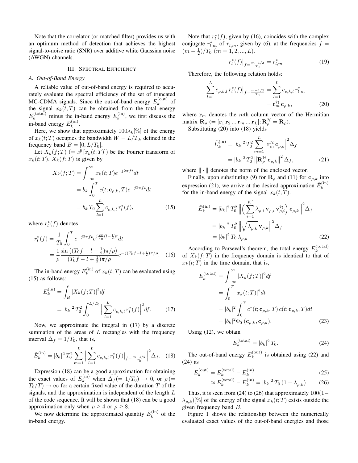Note that the correlator (or matched filter) provides us with an optimum method of detection that achieves the highest signal-to-noise ratio (SNR) over additive white Gaussian noise (AWGN) channels.

#### III. SPECTRAL EFFICIENCY

#### *A. Out-of-Band Energy*

A reliable value of out-of-band energy is required to accurately evaluate the spectral efficiency of the set of truncated MC-CDMA signals. Since the out-of-band energy  $E_k^{(\text{out})}$  $\int_k^{(\text{out})}$  of the signal  $x_k(t;T)$  can be obtained from the total energy  $E_k^{\text{(total)}}$  minus the in-band energy  $E_k^{\text{(in)}}$  $k^{(11)}$ , we first discuss the in-band energy  $E_k^{\text{(in)}}$  $k^{(\mathrm{in})}$ .

Here, we show that approximately  $100\lambda_k[\%]$  of the energy of  $x_k(t;T)$  occupies the bandwidth  $W = L/T_0$ , defined in the frequency band  $B = [0, L/T_0]$ .

Let  $X_k(f;T)$  (=  $\mathscr{F}[x_k(t;T)]$ ) be the Fourier transform of  $x_k(t;T)$ .  $X_k(f;T)$  is given by

$$
X_k(f;T) = \int_{-\infty}^{\infty} x_k(t;T)e^{-j2\pi ft}dt
$$

$$
= b_k \int_0^T c(t; \mathbf{c}_{\rho,k}, T)e^{-j2\pi ft}dt
$$

$$
= b_k T_0 \sum_{l=1}^L c_{\rho,k,l} r_l^*(f), \qquad (15)
$$

where  $r_l^*(f)$  denotes

$$
r_l^*(f) = \frac{1}{T_0} \int_0^T e^{-j2\pi ft} e^{j\frac{2\pi}{T_0}(l-\frac{1}{2})t} dt
$$
  
= 
$$
\frac{1}{\rho} \frac{\sin\left((T_0 f - l + \frac{1}{2})\pi/\rho\right)}{(T_0 f - l + \frac{1}{2})\pi/\rho} e^{-j(T_0 f - l + \frac{1}{2})\pi/\rho}.
$$
 (16)

The in-band energy  $E_k^{\text{(in)}}$  $\int_k^{(1)}$  of  $x_k(t;T)$  can be evaluated using (15) as follows:

$$
E_k^{(\text{in})} = \int_B |X_k(f;T)|^2 df
$$
  
=  $|b_k|^2 T_0^2 \int_0^{L/T_0} \left| \sum_{l=1}^L c_{\rho,k,l} r_l^*(f) \right|^2 df.$  (17)

Now, we approximate the integral in (17) by a discrete summation of the areas of *L* rectangles with the frequency interval  $\Delta_f = 1/T_0$ , that is,

$$
\tilde{E}_k^{(\text{in})} = |b_k|^2 T_0^2 \sum_{m=1}^L \Big| \sum_{l=1}^L c_{\rho,k,l} \, r_l^*(f) \Big|_{f = \frac{m-1/2}{T_0}} \Big|^2 \Delta_f. \tag{18}
$$

Expression (18) can be a good approximation for obtaining the exact values of  $E_k^{\text{(in)}}$  when  $\Delta_f$  (= 1/T<sub>0</sub>)  $\rightarrow$  0, or  $\rho$  (=  $T_0/T$   $\rightarrow \infty$  for a certain fixed value of the duration *T* of the signals, and the approximation is independent of the length *L* of the code sequence. It will be shown that (18) can be a good approximation only when  $\rho \geq 4$  or  $\rho \geq 8$ .

We now determine the approximated quantity  $\tilde{E}_k^{(in)}$  $\int_k^{(1,)}$  of the in-band energy.

Note that  $r_l^*(f)$ , given by (16), coincides with the complex conjugate  $r_{l,m}^*$  of  $r_{l,m}$ , given by (6), at the frequencies  $f =$  $(m-\frac{1}{2})/T_0$ <sup>'</sup> $(m=1,2,...,L)$ .

$$
r_l^*(f)|_{f = \frac{m-1/2}{T_0}} = r_{l,m}^* \tag{19}
$$

Therefore, the following relation holds:

$$
\sum_{l=1}^{L} c_{\rho,k,l} r_l^*(f)|_{f=\frac{m-1/2}{T_0}} = \sum_{l=1}^{L} c_{\rho,k,l} r_{l,m}^*
$$
  
=  $\mathbf{r}_m^{\mathcal{H}} \mathbf{c}_{\rho,k}$ , (20)

where  $\mathbf{r}_m$  denotes the *m*th column vector of the Hermitian  $\text{matrix } \mathbf{R}_\rho \ (=[\mathbf{r}_1\,\mathbf{r}_2\,...\,\mathbf{r}_m\,...\,\mathbf{r}_L]; \mathbf{R}_\rho^\mathcal{H}=\mathbf{R}_\rho).$ 

Substituting (20) into (18) yields

$$
\tilde{E}_k^{(\text{in})} = |b_k|^2 T_0^2 \sum_{m=1}^L \left| \mathbf{r}_m^{\mathcal{H}} \mathbf{c}_{\rho,k} \right|^2 \Delta_f
$$
\n
$$
= |b_k|^2 T_0^2 \left\| \mathbf{R}_{\rho}^{\mathcal{H}} \mathbf{c}_{\rho,k} \right\|^2 \Delta_f, \tag{21}
$$

where  $\|\cdot\|$  denotes the norm of the enclosed vector.

Finally, upon substituting (9) for  $\mathbf{R}_{\rho}$  and (11) for  $\mathbf{c}_{\rho,k}$  into expression (21), we arrive at the desired approximation  $\tilde{E}_k^{(in)}$ *k* for the in-band energy of the signal  $x_k(t;T)$ .

$$
\tilde{E}_{k}^{(\text{in})} = |b_{k}|^{2} T_{0}^{2} \left\| \left( \sum_{i=1}^{K'} \lambda_{\rho,i} \mathbf{v}_{\rho,i} \mathbf{v}_{\rho,i}^{\mathcal{H}} \right) \mathbf{c}_{\rho,k} \right\|^{2} \Delta_{f}
$$
\n
$$
= |b_{k}|^{2} T_{0}^{2} \left\| \sqrt{\lambda_{\rho,k}} \mathbf{v}_{\rho,k} \right\|^{2} \Delta_{f}
$$
\n
$$
= |b_{k}|^{2} T_{0} \lambda_{\rho,k} \qquad (22)
$$

According to Parseval's theorem, the total energy  $E_k^{\text{(total)}}$ *k* of  $X_k(f;T)$  in the frequency domain is identical to that of  $x_k(t;T)$  in the time domain, that is,

$$
E_k^{(\text{total})} = \int_{-\infty}^{\infty} |X_k(f;T)|^2 df
$$
  
= 
$$
\int_0^T |x_k(t;T)|^2 dt
$$
  
= 
$$
|b_k|^2 \int_0^T c^*(t; \mathbf{c}_{\rho,k}, T) c(t; \mathbf{c}_{\rho,k}, T) dt
$$
  
= 
$$
|b_k|^2 \Phi_T(\mathbf{c}_{\rho,k}, \mathbf{c}_{\rho,k}).
$$
 (23)

Using (12), we obtain

$$
E_k^{\text{(total)}} = |b_k|^2 T_0. \tag{24}
$$

The out-of-band energy  $E_k^{(\text{out})}$  $\binom{1}{k}$  is obtained using (22) and (24) as

$$
E_k^{\text{(out)}} = E_k^{\text{(total)}} - E_k^{\text{(in)}} \tag{25}
$$

$$
\approx E_k^{\text{(total)}} - \tilde{E}_k^{\text{(in)}} = |b_k|^2 T_0 (1 - \lambda_{\rho,k}). \tag{26}
$$

Thus, it is seen from (24) to (26) that approximately 100(1*−*  $\lambda_{p,k}$ )[%] of the energy of the signal  $x_k(t;T)$  exists outside the given frequency band *B*.

Figure 1 shows the relationship between the numerically evaluated exact values of the out-of-band energies and those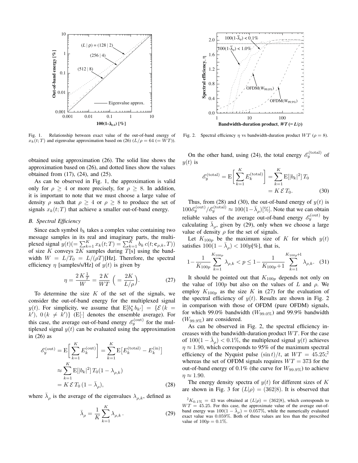

Fig. 1. Relationship between exact value of the out-of-band energy of  $x_k(t;T)$  and eigenvalue approximation based on (26)  $(L/\rho = 64 \ (=WT)$ ).

obtained using approximation (26). The solid line shows the approximation based on (26), and dotted lines show the values obtained from (17), (24), and (25).

As can be observed in Fig. 1, the approximation is valid only for  $\rho \geq 4$  or more precisely, for  $\rho \geq 8$ . In addition, it is important to note that we must choose a large value of density  $\rho$  such that  $\rho \geq 4$  or  $\rho \geq 8$  to produce the set of signals  $x_k(t;T)$  that achieve a smaller out-of-band energy.

## *B. Spectral Efficiency*

Since each symbol  $b_k$  takes a complex value containing two message samples in its real and imaginary parts, the multiplexed signal  $y(t)$ (=  $\sum_{k=1}^{K} x_k(t; T) = \sum_{k=1}^{K} b_k c(t; \mathbf{c}_{\rho,k}, T)$ ) of size *K* conveys 2*K* samples during *T*[s] using the bandwidth  $W = L/T_0 = L/(\rho T)[Hz]$ . Therefore, the spectral efficiency  $\eta$  [samples/s/Hz] of  $y(t)$  is given by

$$
\eta = \frac{2K\frac{1}{T}}{W} = \frac{2K}{WT} \left( = \frac{2K}{L/\rho} \right). \tag{27}
$$

To determine the size *K* of the set of the signals, we consider the out-of-band energy for the multiplexed signal *y*(*t*). For simplicity, we assume that  $E[b^*_{k} b_{k'}] = \{ \mathcal{E}(k = 0) \}$  $k'$ ),  $0$  ( $k \neq k'$ ) {E[·] denotes the ensemble average). For this case, the average out-of-band energy  $\mathcal{E}_y^{\text{(out)}}$  for the multiplexed signal  $y(t)$  can be evaluated using the approximation in (26) as

$$
\mathcal{E}_y^{(\text{out})} = \mathcal{E}\left[\sum_{k=1}^K E_k^{(\text{out})}\right] = \sum_{k=1}^K \mathcal{E}\left[E_k^{(\text{total})} - E_k^{(\text{in})}\right]
$$

$$
\approx \sum_{k=1}^K \mathcal{E}\left[|b_k|^2\right] T_0 (1 - \lambda_{\rho,k})
$$

$$
= K \mathcal{E} T_0 (1 - \bar{\lambda}_{\rho}), \tag{28}
$$

where  $\bar{\lambda}_{\rho}$  is the average of the eigenvalues  $\lambda_{\rho,k}$ , defined as

$$
\bar{\lambda}_{\rho} = \frac{1}{K} \sum_{k=1}^{K} \lambda_{\rho,k} .
$$
 (29)



Fig. 2. Spectral efficiency  $\eta$  vs bandwidth-duration product  $WT (\rho = 8)$ .

On the other hand, using (24), the total energy  $\mathcal{E}_y^{\text{(total)}}$  of  $y(t)$  is

$$
\mathcal{E}_y^{\text{(total)}} = \mathcal{E}\left[\sum_{k=1}^K E_k^{\text{(total)}}\right] = \sum_{k=1}^K \mathcal{E}[|b_k|^2] T_0
$$

$$
= K \mathcal{E} T_0. \tag{30}
$$

Thus, from (28) and (30), the out-of-band energy of  $y(t)$  is  $100\mathcal{E}_y^{\text{(out)}}/\mathcal{E}_y^{\text{(total)}} \approx 100(1-\bar{\lambda}_\rho)[\%]$ . Note that we can obtain reliable values of the average out-of-band energy  $\mathscr{E}_y^{\text{(out)}}$  by calculating  $\bar{\lambda}_\rho$ , given by (29), only when we choose a large value of density  $\rho$  for the set of signals.

Let  $K_{100p}$  be the maximum size of K for which  $y(t)$ satisfies  $100(1 - \bar{\lambda}_{\rho}) < 100p[\%]$ , that is,

$$
1 - \frac{1}{K_{100p}} \sum_{k=1}^{K_{100p}} \lambda_{\rho,k} < p \le 1 - \frac{1}{K_{100p} + 1} \sum_{k=1}^{K_{100p} + 1} \lambda_{\rho,k}.\tag{31}
$$

It should be pointed out that *K*100*<sup>p</sup>* depends not only on the value of 100*p* but also on the values of *L* and *ρ*. We employ  $K_{100p}$  as the size K in (27) for the evaluation of the spectral efficiency of  $y(t)$ . Results are shown in Fig. 2 in comparison with those of OFDM (pure OFDM) signals, for which 99.0% bandwidth  $(W_{99.0\%})$  and 99.9% bandwidth (*W*99*.*9%) are considered.

As can be observed in Fig. 2, the spectral efficiency increases with the bandwidth-duration product *W T*. For the case of  $100(1 - \bar{\lambda}_\rho) < 0.1\%$ , the multiplexed signal  $y(t)$  achieves *η* ≈ 1.90, which corresponds to 95% of the maximum spectral efficiency of the Nyquist pulse  $(\sin t)/t$ , at  $WT = 45.25$ ; whereas the set of OFDM signals requires  $WT = 373$  for the out-of-band energy of 0.1% (the curve for  $W_{99.9\%}$ ) to achieve  $\eta \approx 1.90$ .

The energy density spectra of  $y(t)$  for different sizes of K are shown in Fig. 3 for  $(L|\rho) = (362|8)$ . It is observed that

 ${}^{2}K_{0.1\%} = 43$  was obtained at  $(L|\rho) = (362|8)$ , which corresponds to  $WT = 45.25$ . For this case, the approximate value of the average out-ofband energy was  $100(1 - \bar{\lambda}_\rho) = 0.057\%$ , while the numerically evaluated exact value was 0*.*059%. Both of these values are less than the prescribed value of  $100p = 0.1\%$ .